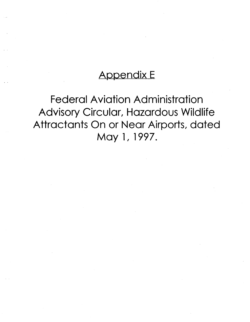# Appendix E

Federal Aviation Administration Advisory Circular, Hazardous Wildlife Attractants On or Near Airports, dated May 1, 1997.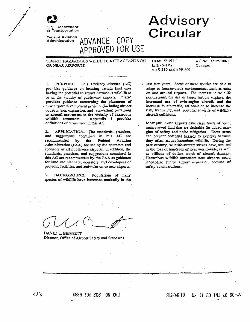

of Transportation

Federal Aviation Administration

# **Advisory** Circular

Subject: HAZARDOUS WILDLIFE ATTRACTANTS ON OR NEAR AIRPORTS

ADVANCE.

COPY

APPROVED FOR USE

PURPOSE. This advisory circular (AC) provides guidance on locating certain land uses having the potential to attract hazardous wildlife to or in the vicinity of public-use airports. It also provides guidance concerning the placement of new airport development projects (including airport. construction, expansion, and renovation) pertaining to aircraft movement in the vicinity of hazardous wildlife attractants. Appendix 1 provides definitions of terms used in this AC.

 $\mathbf{z}$ APPLICATION. The standards, practices, and suggestions contained in this AC are recommended Aviation by the Federal Administration (FAA) for use by the operators and sponsors of all public-use airports. In addition, the standards, practices, and suggestions contained in this AC are recommended by the FAA as guidance for land use planners, operators, and developers of projects, facilities, and activities on or near airports.

3. BACKGROUND. Populations of many species of wildlife have increased markedly in the Date: 5/1/97 Initiated by: AAS-310 and APP-600 AC No: 150/5200-33 Change:

last few years. Some of these species are able to adapt to human-made environments, such as exist on and around airports. The increase in wildlife populations, the use of larger turbine engines, the increased use of twin-engine aircraft, and the increase in air-traffic, all combine to increase the risk, frequency, and porential severity of wildlifeaircraft collisions.

Most public-use airports have large tracts of open, unimproved land that are desirable for added margins of safety and noise mitigation. These areas can present potential hazards to aviation because they often arract hazardous wildlife. During the past century, wildlife-aircraft strikes have resulted in the loss of hundreds of lives world-wide, as well as billions of dollars worth of aircraft damage. Hazardous wildlife attractants near airports could jeopardize future airport expansion because of safety considerations.

DAVID L. BENNETT Director, Office of Airport Safery and Standards

M9 11:SO 197 58-90-YAM **2T90991A**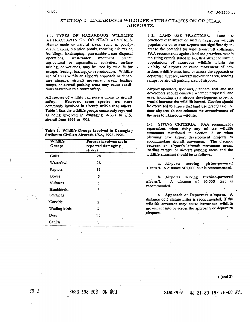### SECTION 1. HAZARDOUS WILDLIFE ATTRACTANTS ON OR NEAR AIRPORTS.

1-1. TYPES OF HAZARDOUS WILDLIFE ATTRACTANTS ON OR NEAR AIRPORTS. Human-made or natural areas, such as poorlydrained areas, retention ponds, roosting habitats on buildings, landscaping, putrescible-waste disposal wastewater operations. treatment plants, agricultural or aquacultural activities, surface mining, or wetlands, may be used by wildlife for escape, feeding, loafing, or reproduction. Wildlife use of areas within an airport's approach or departure airspace, aircraft movement areas, loading ramps, or aircraft parking areas may cause conditions hazardous to aircraft safety.

All species of wildlife can pose a threat to aircraft However, some species are more safery. commonly involved in aircraft strikes than others. Table 1 lists the wildlife groups commonly reported as being involved in damaging strikes to U.S. aircraft from 1993 to 1995.

Table I. Wildlife Groups Involved in Damaging Strikes to Civilian Aircraft, USA, 1993-1995.

| Wildlife<br>Groups       | Percent involvement in<br>reported damaging<br>strikes |  |  |  |
|--------------------------|--------------------------------------------------------|--|--|--|
| Gulls                    | 28                                                     |  |  |  |
| Waterfowl                | 2s                                                     |  |  |  |
| Raptors                  | 11                                                     |  |  |  |
| Doves                    | 6                                                      |  |  |  |
| Vultures                 | 5                                                      |  |  |  |
| Blackbirds-<br>Starlings | 5                                                      |  |  |  |
| Corvids                  | 3                                                      |  |  |  |
| Wading birds             | 3                                                      |  |  |  |
| Deer                     | 11                                                     |  |  |  |
| Canids                   |                                                        |  |  |  |

1-2. LAND USE PRACTICES. Land use practices that attract or sustain hazardous wildlife populations on or near airports can significantly increase the potential for wildlife-aircraft collisions. FAA recommends against land use practices, within the siting criteria stated in 1-3, that attract or sustain populations of hazardous wildlife within the vicinity of airports or cause movement of hazardous wildlife onto, into, or across the approach or departure airspace, aircraft movement area, loading ramps, or aircraft parking area of airports.

Airport operators, sponsors, planners, and land use developers should consider whether proposed land uses, including new airport development projects, would increase the wildlife hazard. Caution should be exercised to ensure that land use practices on or near airports do not enhance the attractiveness of the area to hazardous wildlife.

1-3. SITING CRITERIA. FAA recommends separations when siting any of the wildlife attractants mentioned in Section 2 or when planning new airport development projects to accommodate aircraft movement. The distance between an airport's aircraft movement areas, loading ramps, or aircraft parking areas and the wildlife attractant should be as follows:

a. Airports serving piston-powered aircraft. A distance of 5,000 feet is recommended.

b. Airports serving turbine-powered A distance of 10,000 feet is aircraft recommended.

c. Approach or Departure airspace. A distance of 5 statute miles is recommended, if the wildlife attractant may cause hazardous wildlife movement into or across the approach or departure airspace.

 $1$  (and  $2$ )

 $F.03$ 

M9 S1:S0 197 78-90-YAM **2TAORIA**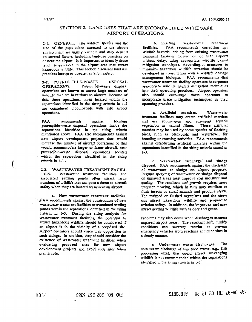## SECTION 2. LAND USES THAT ARE INCOMPATIBLE WITH SAFE AIRPORT OPERATIONS.

2-1. GENERAL. The wildlife species and the size of the populations attracted to the airport environment are highly variable and may depend on several factors, including land-use practices on or near the airport. It is important to identify those land use practices in the airport area that attract hazardous wildlife. This section discusses land use oractices known to threaten aviation safety.

2-2 PUTRESCIBLE-WASTE **DISPOSAL** OPERATIONS. Putrescible-waste disposal operations are known to attract large numbers of wildlife that are hazardous to aircraft. Because of this, these operations, when located within the separations identified in the sitting criteria in 1-3 are considered incompatible with safe airport operations.

FA<sub>4</sub> recommends against locating putrescible-waste disposal operations inside the separations identified in the siting criteria mentioned above. FAA also recommends against new airport development projects that would increase the number of aircraft operations or that would accommodate larger or faster aircraft, near putrescible-waste disposal operations located within the separations identified in the siting criteria in 1-3.

2-3. WASTEWATER TREATMENT FACILI-TIES. Wastewarer treatment facilities and associated settling ponds often attract large numbers of wildlife that can pose a threat to aircraft safety when they are located on or near an airport.

a. New wastewater treatment facilities. \*FAA recommends against the construction of new wastewater treatment facilities or associated settling ponds within the separations identified in the siting criteria in 1-3. During the siting analysis for wastewater treatment facilities, the potential to attract hazardous wildlife should be considered if an airport is in the vicinity of a proposed site. Airport operators should voice their opposition to such sitings. In addition, they should consider the existence of wastewater treatment facilities when evaluating proposed sites for new airport development projects and avoid such sites when practicable.

b. Existing wastewater treatment FAA recommends correcting any facilities. wildlife hazards arising from existing wastewater treatment facilities located on or near airports without delay, using appropriate wildlife hazard mitigation techniques. Accordingly, measures to minimize hazardous wildlife attraction should be developed in consultation with a wildlife damage management biologist. FAA recommends that wastewater treatment facility operators incorporate appropriate wildlife hazard mitigation techniques into their operating practices. Airport operators also should encourage those operators to incorporate these mitigation techniques in their operating practices.

Waste-water c. Artificial marshes. treatment facilities may create artificial marshes and use submergent and emergent aquatic. vegetation as natural filters. These artificial marshes may be used by some species of flocking birds, such as blackbirds and waterfowl, for breeding or roosting activities. FAA recommends against establishing artificial marshes within the separations identified in the siting criteria stated in  $1 - 3$ .

d. Wastewater discharge and sludge disposal. FAA recommends against the discharge of wastewater or sludge on airport property. Regular spraying of wastewater or sludge disposal on unpaved areas may improve soil moisure and quality. The resultant turf growth requires more frequent mowing, which in turn may mutilate or flush insects or small animals and produce straw. The maimed or flushed organisms and the straw can attract hazardous wildlife and jeopardize aviation safety. In addition, the improved turf may attract grazing wildlife such as deer and geese.

Problems may also occur when discharges saturate unpayed airport areas. The resultant soft, muddy conditions can severely restrict or prevent emergency vehicles from reaching accident sites in a timely manner.

The e. Underwater waste discharges. underwater discharge of any food waste, e.g., fish processing offal, that could attract scavenging wildlife is not recommended within the separations. identified in the siting criteria in 1-3.

### **FAX NO. 202 267 5383**

M9-09-97 FRI 02:12 PM **AIRPORTS**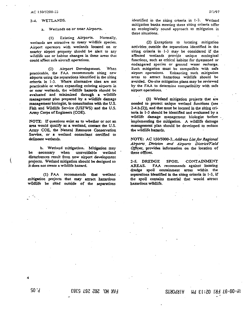#### 2-4. WETLANDS.

#### a. Wetlands on or near Airports.

Existing Airports. Normally,  $(1)$ wetlands are attractive to many wildlife species. Airport operators with wetlands located on or nearby airport property should be alert to any wildlife use or habitat changes in these areas that could affect safe aircraft operations.

(2) Airport Development When practicable, the FAA recommends siting new airports using the separations identified in the siting criteria in 1-3. Where alternative sites are not practicable or when expanding existing airports in or near wetlands, the wildlife hazards should be evaluated and minimized through a wildlife management plan prepared by a wildlife damage management biologist, in consultation with the U.S. Fish and Wildlife Service (USFWS) and the U.S. Army Corps of Engineers (COE).

NOTE: If questions exist as to whether or not an area would qualify as a werland, contact the U.S. Army COE, the Nannal Resource Conservation Service, or a wetland consultant certified to delineate wetlands.

b. Wetland mitigation. Mitigation may be necessary when unavoidable werland disturbances result from new airport development projects. Wetland mitigation should be designed so it does not create a wildlife hazard.

(1) FAA recommends that wetland. mitigation projects that may attract hazardous wildlife be sited outside of the separations

identified in the siting criteria in 1-3. Wetland mitigation banks meeting these siting criteria offer an ecologically sound approach to mitigation in these situations.

(2) Exceptions to locating mitigation activities outside the separations identified in the siting criteria in 1-3 may be considered if the affected wetlands provide unique ecological functions, such as critical habitat for threatened or endangered species or ground water recharge. Such mitigation must be compatible with safe airport operations. Enhancing such mitigation areas to attract hazardous wildlife should be avoided. On-site mitigation plans may be reviewed by the FAA to determine compatibility with safe airport operations.

(3) Wetland mitigation projects that are needed to protect unique wetland functions (see 2-4.b.(2)), and that must be located in the siting criteria in 1-3 should be identified and evaluated by a wildlife damage management biologist before implementing the mitigation. A wildlife damage management plan should be developed to reduce the wildlife hazards.

NOTE: AC 150/5000-3, Address List for Regional Atrports Division and Airports District/Field Offices, provides information on the location of these offices.

2-5. DREDGE **SPOIL** CONTAINMENT FAA recommends against locating AREAS. dredge spoil containment areas within the separations identified in the siting criteria in 1-3, if the spoil contains material that would attract hazardous wildlife.

P. 05

**FAX NO. 202 267 5383** 

19-09-97 FRI 02:13 PM **2TAO9AIA**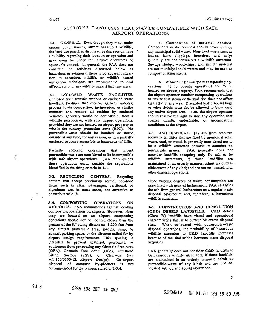### SECTION 3. LAND USES THAT MAY BE COMPATIBLE WITH SAFE AIRPORT OPERATIONS.

3-1. GENERAL. Even though they may, under certain circumstances, attract hazardous wildlife, the land use practices discussed in this section have flexibility regarding their location or operation and may even be under the airport operator's or sponsor's control. In general, the FAA does not consider the activities discussed below as hazardous to aviation if there is no apparent attraction to hazardous wildlife, or wildlife hazard mitigation techniques are implemented to deal effectively with any wildlife hazard that may arise.

3-2. ENCLOSED WASTE FACILITIES. Enclosed trash transfer stations or enclosed waste handling facilities that receive garbage indoors; process it via compaction, incineration, or similar manner; and remove all residue by enclosed vehicles, generally would be companible, from a wildlife perspective, with safe airport operations, provided they are not located on airport property or within the runway protection zone (RPZ). No putrescible-waste should be handled or stored outside at any time, for any reason, or in a partially enclosed structure accessible to hazardous wildlife.

Partially enclosed operations that accept putrescible-waste are considered to be incompatible with safe airport operations. FAA recommends these operations occur cutside the separations identified in the siting criteria in 1-3.

3-3. RECYCLING CENTERS. Recycling centers that accept previously sorted, non-food items such as glass, newspaper, cardboard, or aluminum are, in most cases, not attractive to hazardous wildlife.

3-4. COMPOSTING **OPERATIONS** ON AIRPORTS. FAA recommends against locating composting operations on airports. However, when they are located on an airport, composting operations should not be located closer than the greater of the following distances: 1,200 feet from any aircraft movement area, loading ramp, or aircraft parking space; or the distance called for by airport design requirements. This spacing is intended to prevent material, personnel, or equipment from penetrating any Obstacle Free Area (OFA), Obstacle Free Zone (OFZ), Threshold Siting Surface (TSS), or Cle<br>AC 150/5300-13, Airport Design). or Clearway (see On-airport disposal of compost by-products is not recommended for the reasons stated in 2-3.d.

a. Composition of material handled. Components of the compost should never include any municipal solid waste. Non-food waste such as leaves, lawn clippings, branches, and twigs generally are not considered a wildlife attractant. Sewage sludge, wood-chips, and similar material are not municipal solid wastes and may be used as compost bulking agents.

b. Monitoring on-airport composting operations. If composting operations are to be located on airport property, FAA recommends that the airport operator monitor composting operations to ensure that steam or thermal rise does not affect air traffic in any way. Discarded leaf disposal bags or other debris must not be allowed to blow onto any active airport area. Also, the airport operator should reserve the right to stop any operation that creates unsafe, undesirable, or incompatible conditions at the airport.

3-5. ASH DISPOSAL. Fly ash from resource recovery facilities that are fired by municipal solid waste, coal, or wood, is generally considered not to be a wildlife attractant because it contains no putrescible matter. FAA generally does not consider landfills accepting only fly ash to be wildlife attractants, if those landfills: are maintained in an orderly manner; admit no putrescible-waste of any kind; and are not co-located with other disposal operations.

Since varying degrees of waste consumption are associated with general incineration, FAA classifies the ash from general incinerators as a regular waste disposal by-product and, therefore, a hazardous wildlife attractant.

3-6. CONSTRUCTION AND DEMOLITION (C&D) DEBRIS LANDFILLS. C&D debris (Class IV) landfills have visual and operational characteristics similar to putrescible-waste disposal When co-located with putrescible-waste sites. disposal operations, the probability of hazardous wildlife attraction to C&D landfills increases because of the similarities between these disposal activities.

FAA generally does not consider C&D landfills to be hazardous wildlife attractants, if those landfills: are maintained in an orderly numer, admit no putrescible-waste of any kind; and are not colocated with other disposal operations.

5

 $90.9$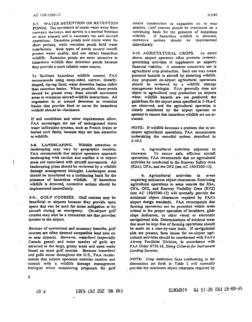#### AC 150/5200-33

3-7. WATER DETENTION OR RETENTION PONDS. The movement of storm water away from runways, taxiways, and aprons is a normal function on most airports and is necessary for safe aircraft operations. Detention ponds hold storm water for short periods, while retention ponds hold water indefinitely. Both types of ponds control runoff, protect water quality, and can attract hazardous wildlife. Retention ponds are more attractive to hazardous wildlife than detention ponds because they provide a more reliable water source.

To facilitate hazardous wildlife control, FAA recommends using steep-sided, narrow, linearlyshaped, rip-rap lined, water detention basins rather than retention basins. When possible, these ponds should be placed away from aircraft movement areas to minimize aircraft-wildlife interactions. All vezetation in or around detention or retention basins that provide food or cover for hazardous wildlife should be eliminated.

If soil conditions and other requirements allow. FAA encourages the use of underground storm water infiltration systems, such as French drains or buried rock fields, because they are less attractive to wildlife.

3-8. LANDSCAPING. Wildlife attraction to landscaping may vary by geographic location. FAA recommends that airport operators approach landscaping with caution and confine it to airport areas not associated with aircraft movements. All landscaping plans should be reviewed by a wildlife damage management biologist. Landscaped areas should be monitored on a continuing basis for the presence of hazardous wildlife. If hazardous wildlife is detected, corrective actions should be implemented immediately.

3-9. GOLF COURSES. Golf courses may be beneficial to airports because they provide open space that can be used for noise mitigation or by aircraft during an emergency. On-airport golf courses may also be a concurrent use that provides income to the airport.

Because of operational and monetary benefits, golf courses are often deemed compatible land uses on or near airports. However, waterfowl (especially Canada geese) and some species of gulls are attracted to the large, grassy areas and open water found on most golf courses. Because waterfowl and gulls occur throughout the U.S., FAA recommends that airport operators exercise caution and consult with a wildlife damage management biologist when considering proposals for golf

course construction or expansion on or near airports. Golf courses should be monitored on a continuing basis for the presence of hazardous wildlife. If hazardous wildlife is detected, corrective actions should be implemented immediately.

3-10. AGRICULTURAL CROPS. As noted above, airport operators often promote revenuegenerating activities to supplement an airport's financial viability. A common concurrent use is agricultural crop production. Such use may create potential hazards to aircraft by attracting wildlife. Any proposed on-airport agricultural operations should be reviewed by a wildlife damage management biologist. FAA generally does not object to agricultural crop production on airports when: wildlife hazards are not predicted; the guidelines for the airport areas specified in 3-10.a-f. are observed; and the agricultural operation is closely monitored by the airport operator or sponsor to ensure that hazardous wildlife are not attracted.

NOTE: If wildlife becomes a problem due to onairport agricultural operations, FAA recommends undertaking the remedial actions described in  $3 - 10.f.$ 

a. Agricultural activities adjacent to To ensure safe, efficient aircraft runways. operations, FAA recommends that no agricultural activities be conducted in the Runway Safery Area (RSA), OFA, and the OFZ (see AC 150/5300-13).

b. Agricultural activities in areas requiring minimum object clearances. Restricting agricultural operations to areas outside the RSA, OFA, OFZ, and Runway Visibility Zone (RVZ) (see AC 150/5300-13) will normally provide the minimum object clearances required by FAA's airport design standards. FAA recommends that farming operations not be permitted within areas critical to the proper operation of localizers, glide slope indicators, or other visual or electronic navigational aids. Determinations of minimal areas that must be kept free of farming operations should be made on a case-by-case basis. If navigational aids are present, farm leases for on-airport agricultural activities should be coordinated with FAA's Airway Facilities Division, in accordance with FAA Order 6750.16, Siting Criteria for Instrument Landing Systems.

NOTE: Crop restriction lines conforming to the dimensions set forth in Table 2 will normally provide the minimum object clearance required by

6

 $50.9$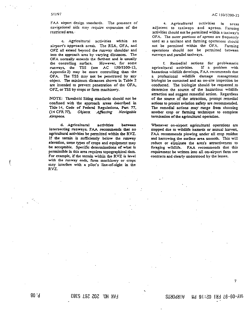5/1/97

FAA airport design standards. The presence of navigational aids may require expansion of the restricted area.

c. Agricultural activities within an airport's approach areas. The RSA, OFA, and OFZ all extend beyond the runway shoulder and into the approach area by varying distances. The OFA normally extends the farthest and is usually the controlling surface. However, for some runways, the TSS (see AC 150/5300-13, Appendix 2) may be more controlling than the OFA. The TSS may not be penetrated by any object. The minimum distances shown in Table 2 are intended to prevent penetration of the OFA, OFZ, or TSS by crops or farm machinery.

NOTE: Threshold Siting standards should not be confused with the approach areas described in Title 14, Code of Federal Regulations, Part 77, (14 CFR 77), Objects. Affecting Navigable Airspace.

d. Agricultural activities between intersecting runways. FAA recommends that no agricultural activities be permitted within the RVZ. If the terrain is sufficiently below the runway elevation, some types of crops and equipment may be acceptable. Specific determinations of what is permissible in this area requires topographical data. For example, if the terrain within the RVZ is level with the runway ends, farm machinery or crops may interfere with a pilot's line-of-sight in the RVZ.

e. Agricultural activities in areas adjacent to taxiways and aprons. Farming activities should not be permitted within a taxiwav's OFA. The outer portions of aprons are frequently used as a taxilane and farming operations should not be permitted within the OFA. Farming operations should not be permitted between runways and parallel taxiways.

f. Remedial actions for problematic agricultural activities. If a problem with hazardous wildlife develops, FAA recommends that a professional wildlife damage management biologist be contacted and an on-site inspection be conducted. The biologist should be requested to determine the source of the hazardous wildlife attraction and suggest remedial action. Regardless of the source of the attraction, prompt remedial actions to protect aviation safety are recommended. The remedial actions may range from choosing another crop or farming technique to complete termination of the agricultural operation.

Whenever on-airport agricultural operations are stopped due to wildlife hazards or annual harvest, FAA recommends plowing under all crop residue and harrowing the surface area smooth. This will reduce or eliminate the area's attractiveness to foraging wildlife. FAA recommends that this requirement be written into all on-airport farm use contracts and clearly understood by the lessee.

 $80.9$ 

 $\tau$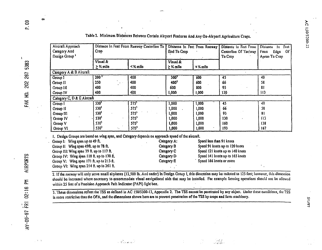| Aircraft Approach<br>Category And<br>Crop<br>Design Group <sup>1</sup> | Distance In Feet From Runway Centerline To |                           | Distance In Feet From Runway<br>End To Crop |               | Distance In Feet From<br>Centerline Of Taxiway<br>To Crop | Distance<br>Feet<br>-ln<br>or<br>Edge<br>From<br>Apron To Crop |
|------------------------------------------------------------------------|--------------------------------------------|---------------------------|---------------------------------------------|---------------|-----------------------------------------------------------|----------------------------------------------------------------|
|                                                                        | Visual &<br>$\geq$ % mile                  | $<$ $\times$ mllo         | Visual &<br>$\geq$ % mile                   | $\leq$ % mile |                                                           |                                                                |
| Category A & B Aircraft                                                |                                            |                           |                                             |               |                                                           |                                                                |
| Group 1                                                                | 200 <sup>17</sup>                          | 400                       | 300 <sup>2</sup>                            | 600           | 45                                                        | 40                                                             |
| Group II                                                               | 250                                        | 400<br>$\alpha$ , $\beta$ | 400 <sup>1</sup>                            | 600           | 66                                                        | 58                                                             |
| Group III                                                              | 400                                        | 400                       | 600                                         | 800           | 93                                                        | 81                                                             |
| Group IV                                                               | 400                                        | 400                       | 000,                                        | 1,000         | 130                                                       | 113                                                            |
| Category C, D & E Aircraft                                             |                                            |                           |                                             |               |                                                           |                                                                |
| Group I                                                                | 530 <sup>3</sup>                           | 575'                      | 1,000                                       | 1,000         | 45                                                        | 40                                                             |
| Group II                                                               | 530 <sup>3</sup>                           | 575 <sup>3</sup>          | 1,000                                       | 1,000         | 66                                                        | 58                                                             |
| Group !II                                                              | 530 <sup>1</sup>                           | 575'                      | 1,000                                       | 1,000         | 93                                                        | 81                                                             |
| Group IV                                                               | <b>530</b>                                 | 575'                      | 1,000                                       | 1,000         | 130                                                       | 113                                                            |
| Group V                                                                | 530 <sup>3</sup>                           | 575'                      | 1,000                                       | 1,000         | 160                                                       | 138                                                            |
| <b>Oroup VI</b>                                                        | 530 <sup>3</sup><br>٠.                     | 575 <sup>1</sup>          | 1,000                                       | 1,000         | 193                                                       | 167                                                            |

Table 2. Minimum Distances Between Certain Airport Features And Any On-Airport Agriculture Crops.

Group III: Wing span 79 ft. up to 117 ft. Group IV: Wing span 118 ft. up to 170 ft. Group V: Wing span 171 ft. up to 213.ft. Group VI: Wing span 214 ft. up to 261 ft.

2. If the runway will only serve small airplanes (12,500 lb. And under) in Design Group I, this dimension may be reduced to 125 feet; however, this dimension should be increased where necessary to accommodate visual navigational aids that may be installed. For example faming operations should not be allowed within 25 feet of a Precision Approach Path Indicator (PAPI) light box.

Category C

Category D

Category B

Speed 121 knots up to 140 knots

Speed 141 knots up to 165 knots Speed 166 knots or more

in al di<br>Semanaka

3. These dimensions reflect the TSS as defined in AC 150/5300-13, Appendix 2. The TSS cannot be penetrated by any object. Under these conditions, the TSS is more restrictive than the OFA, and the dimensions shown here are to prevent penetration of the TSS by crops and farm machinery.

s d'inversi

P.09

 $\infty$ 

5383 267 202 FAX NO.

 $\mathbf{I}$ 

计符

AC 150/5200-33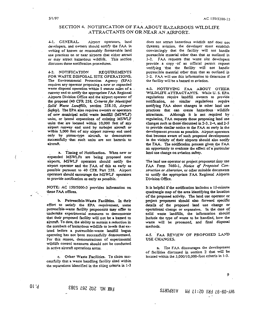# SECTION 4. NOTIFICATION OF FAA ABOUT HAZARDOUS WILDLIFE ATTRACTANTS ON OR NEAR AN AIRPORT.

41. GENERAL Airport operators, land developers, and owners should notify the FAA in writing of known or reasonably foreseeable land use practices on or near airports that either attract or may attract hazardous wildlife. This section discusses those notification procedures.

4-2. NOTIFICATION **REOUTREMENTS** FOR WASTE DISPOSAL SITE OPERATIONS. The Environmental Protection Agency (EPA) requires any operator proposing a new or expanded waste disposal operation within 5 statute miles of a runway end to notify the appropriate FAA Regional Airports Division Office and the airport operator of the proposal (40 CFR 258, Criteria for Municipal Solid Waste Landfills, section 258.10, Airport Safety). The EPA also requires owners or operators of new municipal solid waste landfill (MSWLF) units, or lateral expansions of existing MSWLF units that are located within 10,000 feet of any airport runway end used by turbojet aircraft or within 5,000 feet of any airport runway end used only by piston-type aircraft, to demonstrate successfully that such units are not hazards to aircraft.

a. Timing of Notification. When new or expanded MSWLFs are being proposed near airports, MSWLF operators should notify the airport operator and the FAA of this as early as possible pursuant to 40 CFR Part 258. Airport operators should encourage the MSWLF operators to provide notification as early as possible.

NOTE: AC 150/5000-3 provides information on these FAA offices.

b. Putrescible-Waste Facilities. In their effort to satisfy the EPA requirement, some putrescible-waste facility proponents may offer to undertake experimental measures to demonstrate that their proposed facility will not be a hazard to aircraft. To date, the ability to sustain a reduction in the numbers of hazardous wildlife to levels that existed before a putrescible-waste landfill began operating has not been successfully demonstrated. For this reason, demonstrations of experimental wildlife control measures should not be conducted in active aircraft operations areas.

c. Other Waste Facilities. To claim successfully that a waste handling facility sited within the separations identified in the siting criteria in 1-3 does not attract hazardous wildlife and does not threaten aviation, the developer must establish convincingly that the facility will not handle putrescible material other than that as outlined in 3-2. FAA requests that waste site developers provide a copy of an official permit request verifying that the facility will not handle putrescible material other than that as outlined in 3-2. F.A.A will use this information to determine if the facility will be a hazard to aviation.

43. NOTIFYING FAA ABOUT OTHER WILDLIFE ATTRACTANTS. While U.S. EPA regulations require landfill owners to provide notification, no similar regulations require notifying FAA about changes in other land use practices that can create hazardous wildlife attractants. Although it is not required by . regulation, FAA requests those proposing land use changes such as those discussed in 2-3, 2-4, and 2-5 to provide similar notice to the FAA as early in the development process as possible. Airport operators that become aware of such proposed development in the vicinity of their airports should also notify the FAA. The notification process gives the FAA an opportunity to evaluate the effect of a particular land use change on aviation safety.

The land use operator or project proponent may use FAA Form 7460-1, Notice of Proposed Construction or Alteration, or other suitable documents to notify the appropriate FAA Regional Airports Division Office.

It is helpful if the notification includes a 15-minute quadrangle map of the area identifying the location of the proposed activity. The land use operator or project proponent should also forward specific details of the proposed land use change or operational change or expansion. In the case of solid waste landfills, the information should include the type of waste to be handled, how the waste will be processed, and final disposal methods.

4-5. FAA REVIEW OF PROPOSED LAND USE CHANGES.

2. The FAA discourages the development of facilities discussed in section 2 that will be located within the 5,000/10,000-foot criteria in 1-3.

**FAX NO. 202 267 5383** 

**2TAORIA** M9 71:SO 197 78-90-YAM

9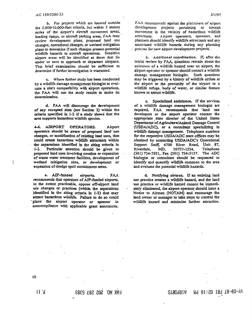b. For projects which are located outside the 5,000/10,000-foot criteria, but within 5 statute miles of the airport's aircraft movement areas, loading ramps, or aircraft parking areas, FAA may review development plans, proposed land use changes, operational changes, or wetland mitigation plans to determine if such changes present potential wildlife hazards to aircraft operations. Sensitive airport areas will be identified as those that lie under or next to approach or departure airspace. This brief examination should be sufficient to determine if further investigation is warranted.

c. Where further study has been conducted by a wildlife damage management biologist to evaluate a site's compatibility with airport operations, the FAA will use the study results to make its determination.

d. FAA will discourage the development of any excepted sites (see Section 3) within the criteria specified in 1-3 if a study shows that the area supports hazardous wildlife species.

4-6. AIRPORT OPERATORS. Airport operators should be aware of proposed land use changes, or modification of existing land uses, that could create hazardous wildlife attractants within the separations identified in the siting criteria in Particular attention should be given to  $1 - 3.$ proposed land uses involving creation or expansion of waste water treatment facilities, development of wetland mitigation sites, or development or expansion of dredge spoil containment areas.

a. AIP-funded **FAA** airports. recommends that operators of AIP-funded airports, to the extent practicable, oppose off-airport land use changes or practices (within the separations identified in the siting criteria in 1-3) that may arract hazardous wildlife. Failure to do so could place the airport operator or sponsor in noncompliance with applicable grant assurances.

FAA recommends against the placement of airport development projects pertaining to aircraft movement in the vicinity of hazardous wildlife attractants. Airport operators, sponsors, and planners should identify wildlife attractants and any associated wildlife hazards during any planning process for new airport development projects.

b. Additional coordination. If, after the initial review by FAA, questions remain about the existence of a wildlife hazard near an airport, the airport operator or sponsor should consult a wildlife damage management biologist. Such questions may be triggered by a history of wildlife strikes at the airport or the proximity of the airport to a wildlife refuge, body of water, or similar feature known to attract wildlife.

c. Specialized assistance. If the services of a wildlife damage management biologist are required, FAA recommends that land use developers or the airport operator contact the appropriate state director of the United States Department of Agriculture/Animal Damage Control (USDA/ADC), or a consultant specializing in wildlife damage management. Telephone numbers for the respective USDA/ADC state offices may be obtained by contacting USDA/ADC's Operational Support Staff, 4700 River Road, Unit 87, Riverdale, Telephone MD, 20737-1234, (301) 734-7921, Fax (301) 734-5157. The ADC biologist or consultant should be requested to identify and quantify wildlife common to the area and evaluate the potential wildlife hazards.

d. Notifying airmen. If an existing land use practice creates a wildlife hazard, and the land use practice or wildlife hazard cannot be immediately eliminated, the airport operator should issue a Notice to Airmen (NOTAM) and encourage the land owner or manager to take steps to control the wildlife hazard and minimize further attraction.

 $11.9$ 

FAX NO. 202 267 5383

# 4Y-09-97 FRI 02:18 PM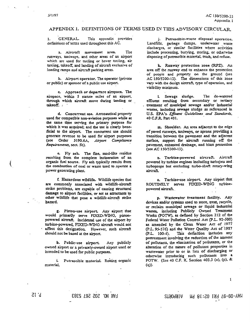#### APPENDIX I. DEFINITIONS OF TERMS USED IN THIS ADVISORY CIRCULAR

 $\mathbf{1}$ . **GENERAL** This appendix provides definitions of terms used throughout this AC.

2. Aircraft movement area. The runways, taxiways, and other areas of an airport which are used for taxiing or hover taxiing, air taxiing, takeoff, and landing of aircraft exclusive of loading ramps and aircraft parking areas.

b. Airport operator. The operator (private or public) or sponsor of a public use airport.

c. Approach or departure airspace. The airspace, within 5 statute miles of an airport, through which aircraft move during landing or  $\mathbf{r}$  akeoff.  $\cdot$ 

d. Concurrent ase. Aeronautical property used for compatible non-aviation purposes while at the same time serving the primary purpose for which it was acquired; and the use is clearly beneficial to the airport. The concurrent use should generate revenue to be used for airport purposes (see Order 5190.6A, Airport Compliance Requirements, sect. 5a).

e. Fly ash. The fine, sand-like residue resulting from the complete incineration of an organic fuel source. Fly ash typically results from the combustion of coal or waste used to operate a power generating plant.

f. Hazardous wildlife. Wildlife species that are commonly associated with wildlife-aircraft strike problems, are capable of causing structural damage to airport facilities, or act as attractants to other wildlife that pose a wildlife-aircraft strike hazard.

g. Piston-use airport. Any airport that would primarily serve FIXED-WING, pistonpowered aircraft. Incidental use of the airport by turbine-powered, FIXED-WING aircraft would not affect this designation. However, such aircraft should not be based at the airport.

Any publicly b. Public-use airport. owned airport or a privately-owned airport used or intended to be used for public purposes.

Putrescible material. Rotting organic ì. material

j. Putrescible-waste disposal operation. Landfills, garbage dumps, underwater waste discharges, or similar facilities where activities include processing, burying, storing, or otherwise disposing of putrescible material, trash, and refuse.

k. Runway protection zone (RPZ). An area off the runway end to enhance the protection of people and property on the ground (see AC 150/5300-13). The dimensions of this zone vary with the design aircraft, type of operation, and visibility minimum.

L Sewage sludge. The de-watered effluent resulting from secondary or tertiary treatment of municipal sewage and/or industrial wastes, including sewage sludge as referenced in U.S. EPA's Effluent Guidelines and Standards, 40 C.F.R. Part 401.

m. Shoulder. An area adjacent to the edge of paved runways, taxiways, or aprons providing a transition between the pavement and the adjacent surface, support for aircraft running off the pavement, enhanced drainage, and blast protection (see AC 150/5300-13).

n. Turbine-powered aircraft. Aircraft powered by turbine engines including turbojets and. airboprops but excluding turbo-shaft rotary-wing aircraft.

o. Turbine-use airport. Any airport that ROUTINELY serves FIXED-WING turbinepowered aircraft.

p. Wastewater treatment facility. Any devices and/or systems used to store, treat, recycle, or reclaim municipal sewage or liquid industrial wastes, including Publicly Owned Treatment Works (POTW), as defined by Section 212 of the Federal Water Pollution Control Act (P.L. 92-500) as amended by the Clean Water Act of 1977 (P.L. 95-576) and the Water Quality Act of 1987 This definition includes any  $(P.L. 100-4).$ pretreatment involving the reduction of the amount of pollutants, the elimination of pollutants, or the alteration of the nature of pollutant properties in wastewater prior to or in lieu of discharging or otherwise introducing such pollutants into a POTW. (See 40 C.F. R. Section 403.3 (o), (p), & (q)).

 $\mathbf{1}$